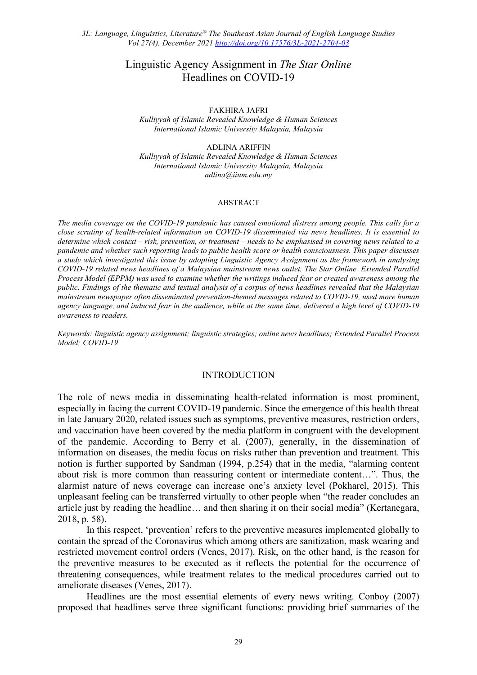# Linguistic Agency Assignment in *The Star Online*  Headlines on COVID-19

FAKHIRA JAFRI

*Kulliyyah of Islamic Revealed Knowledge & Human Sciences International Islamic University Malaysia, Malaysia*

ADLINA ARIFFIN

*Kulliyyah of Islamic Revealed Knowledge & Human Sciences International Islamic University Malaysia, Malaysia adlina@iium.edu.my*

#### ABSTRACT

*The media coverage on the COVID-19 pandemic has caused emotional distress among people. This calls for a close scrutiny of health-related information on COVID-19 disseminated via news headlines. It is essential to determine which context – risk, prevention, or treatment – needs to be emphasised in covering news related to a pandemic and whether such reporting leads to public health scare or health consciousness. This paper discusses a study which investigated this issue by adopting Linguistic Agency Assignment as the framework in analysing COVID-19 related news headlines of a Malaysian mainstream news outlet, The Star Online. Extended Parallel Process Model (EPPM) was used to examine whether the writings induced fear or created awareness among the public. Findings of the thematic and textual analysis of a corpus of news headlines revealed that the Malaysian mainstream newspaper often disseminated prevention-themed messages related to COVID-19, used more human agency language, and induced fear in the audience, while at the same time, delivered a high level of COVID-19 awareness to readers.*

*Keywords: linguistic agency assignment; linguistic strategies; online news headlines; Extended Parallel Process Model; COVID-19*

## INTRODUCTION

The role of news media in disseminating health-related information is most prominent, especially in facing the current COVID-19 pandemic. Since the emergence of this health threat in late January 2020, related issues such as symptoms, preventive measures, restriction orders, and vaccination have been covered by the media platform in congruent with the development of the pandemic. According to Berry et al. (2007), generally, in the dissemination of information on diseases, the media focus on risks rather than prevention and treatment. This notion is further supported by Sandman (1994, p.254) that in the media, "alarming content about risk is more common than reassuring content or intermediate content…". Thus, the alarmist nature of news coverage can increase one's anxiety level (Pokharel, 2015). This unpleasant feeling can be transferred virtually to other people when "the reader concludes an article just by reading the headline… and then sharing it on their social media" (Kertanegara, 2018, p. 58).

In this respect, 'prevention' refers to the preventive measures implemented globally to contain the spread of the Coronavirus which among others are sanitization, mask wearing and restricted movement control orders (Venes, 2017). Risk, on the other hand, is the reason for the preventive measures to be executed as it reflects the potential for the occurrence of threatening consequences, while treatment relates to the medical procedures carried out to ameliorate diseases (Venes, 2017).

Headlines are the most essential elements of every news writing. Conboy (2007) proposed that headlines serve three significant functions: providing brief summaries of the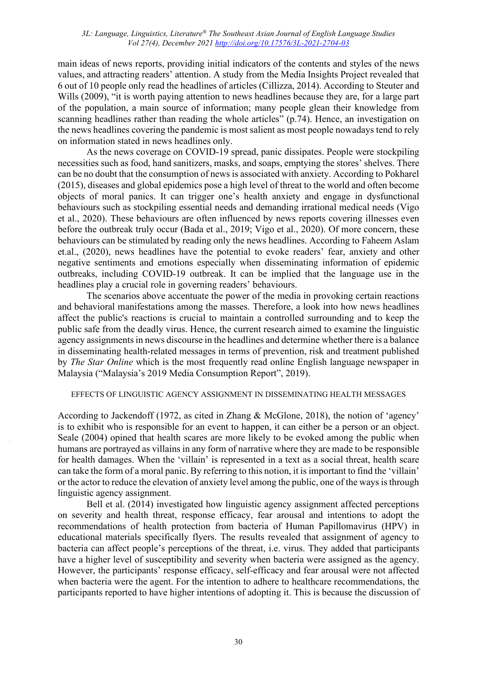main ideas of news reports, providing initial indicators of the contents and styles of the news values, and attracting readers' attention. A study from the Media Insights Project revealed that 6 out of 10 people only read the headlines of articles (Cillizza, 2014). According to Steuter and Wills (2009), "it is worth paying attention to news headlines because they are, for a large part of the population, a main source of information; many people glean their knowledge from scanning headlines rather than reading the whole articles" (p.74). Hence, an investigation on the news headlines covering the pandemic is most salient as most people nowadays tend to rely on information stated in news headlines only.

As the news coverage on COVID-19 spread, panic dissipates. People were stockpiling necessities such as food, hand sanitizers, masks, and soaps, emptying the stores' shelves. There can be no doubt that the consumption of news is associated with anxiety. According to Pokharel (2015), diseases and global epidemics pose a high level of threat to the world and often become objects of moral panics. It can trigger one's health anxiety and engage in dysfunctional behaviours such as stockpiling essential needs and demanding irrational medical needs (Vigo et al., 2020). These behaviours are often influenced by news reports covering illnesses even before the outbreak truly occur (Bada et al., 2019; Vigo et al., 2020). Of more concern, these behaviours can be stimulated by reading only the news headlines. According to Faheem Aslam et.al., (2020), news headlines have the potential to evoke readers' fear, anxiety and other negative sentiments and emotions especially when disseminating information of epidemic outbreaks, including COVID-19 outbreak. It can be implied that the language use in the headlines play a crucial role in governing readers' behaviours.

The scenarios above accentuate the power of the media in provoking certain reactions and behavioral manifestations among the masses. Therefore, a look into how news headlines affect the public's reactions is crucial to maintain a controlled surrounding and to keep the public safe from the deadly virus. Hence, the current research aimed to examine the linguistic agency assignments in news discourse in the headlines and determine whether there is a balance in disseminating health-related messages in terms of prevention, risk and treatment published by *The Star Online* which is the most frequently read online English language newspaper in Malaysia ("Malaysia's 2019 Media Consumption Report", 2019).

## EFFECTS OF LINGUISTIC AGENCY ASSIGNMENT IN DISSEMINATING HEALTH MESSAGES

According to Jackendoff (1972, as cited in Zhang & McGlone, 2018), the notion of 'agency' is to exhibit who is responsible for an event to happen, it can either be a person or an object. Seale (2004) opined that health scares are more likely to be evoked among the public when humans are portrayed as villains in any form of narrative where they are made to be responsible for health damages. When the 'villain' is represented in a text as a social threat, health scare can take the form of a moral panic. By referring to this notion, it is important to find the 'villain' or the actor to reduce the elevation of anxiety level among the public, one of the ways is through linguistic agency assignment.

 Bell et al. (2014) investigated how linguistic agency assignment affected perceptions on severity and health threat, response efficacy, fear arousal and intentions to adopt the recommendations of health protection from bacteria of Human Papillomavirus (HPV) in educational materials specifically flyers. The results revealed that assignment of agency to bacteria can affect people's perceptions of the threat, i.e. virus. They added that participants have a higher level of susceptibility and severity when bacteria were assigned as the agency. However, the participants' response efficacy, self-efficacy and fear arousal were not affected when bacteria were the agent. For the intention to adhere to healthcare recommendations, the participants reported to have higher intentions of adopting it. This is because the discussion of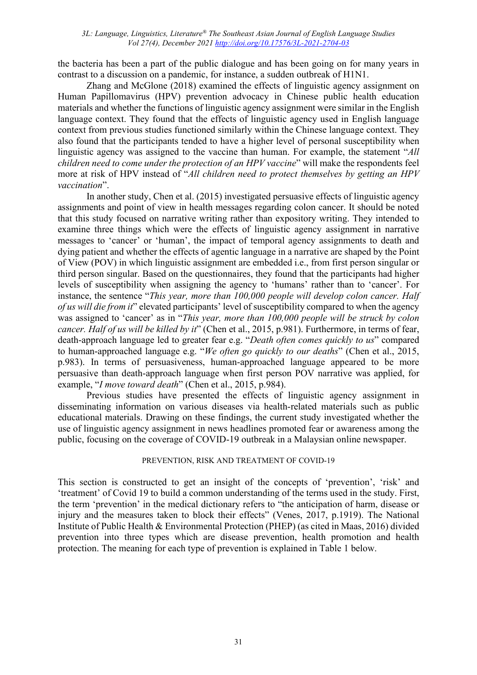the bacteria has been a part of the public dialogue and has been going on for many years in contrast to a discussion on a pandemic, for instance, a sudden outbreak of H1N1.

 Zhang and McGlone (2018) examined the effects of linguistic agency assignment on Human Papillomavirus (HPV) prevention advocacy in Chinese public health education materials and whether the functions of linguistic agency assignment were similar in the English language context. They found that the effects of linguistic agency used in English language context from previous studies functioned similarly within the Chinese language context. They also found that the participants tended to have a higher level of personal susceptibility when linguistic agency was assigned to the vaccine than human. For example, the statement "*All children need to come under the protection of an HPV vaccine*" will make the respondents feel more at risk of HPV instead of "*All children need to protect themselves by getting an HPV vaccination*".

 In another study, Chen et al. (2015) investigated persuasive effects of linguistic agency assignments and point of view in health messages regarding colon cancer. It should be noted that this study focused on narrative writing rather than expository writing. They intended to examine three things which were the effects of linguistic agency assignment in narrative messages to 'cancer' or 'human', the impact of temporal agency assignments to death and dying patient and whether the effects of agentic language in a narrative are shaped by the Point of View (POV) in which linguistic assignment are embedded i.e., from first person singular or third person singular. Based on the questionnaires, they found that the participants had higher levels of susceptibility when assigning the agency to 'humans' rather than to 'cancer'. For instance, the sentence "*This year, more than 100,000 people will develop colon cancer. Half of us will die from it*" elevated participants' level of susceptibility compared to when the agency was assigned to 'cancer' as in "*This year, more than 100,000 people will be struck by colon cancer. Half of us will be killed by it*" (Chen et al., 2015, p.981). Furthermore, in terms of fear, death-approach language led to greater fear e.g. "*Death often comes quickly to us*" compared to human-approached language e.g. "*We often go quickly to our deaths*" (Chen et al., 2015, p.983). In terms of persuasiveness, human-approached language appeared to be more persuasive than death-approach language when first person POV narrative was applied, for example, "*I move toward death*" (Chen et al., 2015, p.984).

 Previous studies have presented the effects of linguistic agency assignment in disseminating information on various diseases via health-related materials such as public educational materials. Drawing on these findings, the current study investigated whether the use of linguistic agency assignment in news headlines promoted fear or awareness among the public, focusing on the coverage of COVID-19 outbreak in a Malaysian online newspaper.

## PREVENTION, RISK AND TREATMENT OF COVID-19

This section is constructed to get an insight of the concepts of 'prevention', 'risk' and 'treatment' of Covid 19 to build a common understanding of the terms used in the study. First, the term 'prevention' in the medical dictionary refers to "the anticipation of harm, disease or injury and the measures taken to block their effects" (Venes, 2017, p.1919). The National Institute of Public Health & Environmental Protection (PHEP) (as cited in Maas, 2016) divided prevention into three types which are disease prevention, health promotion and health protection. The meaning for each type of prevention is explained in Table 1 below.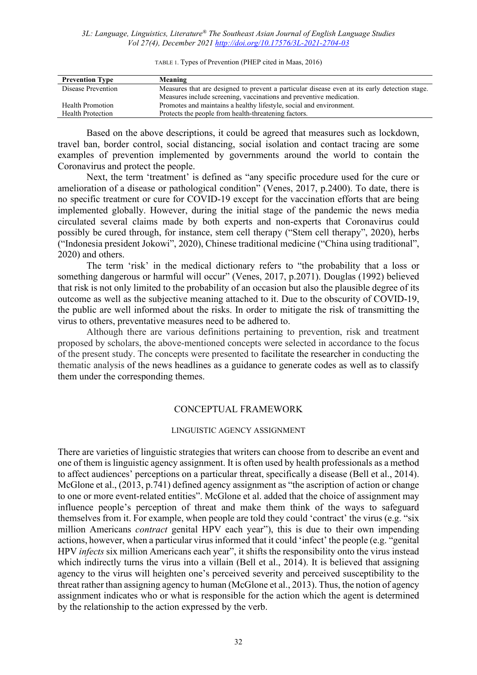TABLE 1. Types of Prevention (PHEP cited in Maas, 2016)

| <b>Prevention Type</b> | Meaning                                                                                       |
|------------------------|-----------------------------------------------------------------------------------------------|
| Disease Prevention     | Measures that are designed to prevent a particular disease even at its early detection stage. |
|                        | Measures include screening, vaccinations and preventive medication.                           |
| Health Promotion       | Promotes and maintains a healthy lifestyle, social and environment.                           |
| Health Protection      | Protects the people from health-threatening factors.                                          |

 Based on the above descriptions, it could be agreed that measures such as lockdown, travel ban, border control, social distancing, social isolation and contact tracing are some examples of prevention implemented by governments around the world to contain the Coronavirus and protect the people.

 Next, the term 'treatment' is defined as "any specific procedure used for the cure or amelioration of a disease or pathological condition" (Venes, 2017, p.2400). To date, there is no specific treatment or cure for COVID-19 except for the vaccination efforts that are being implemented globally. However, during the initial stage of the pandemic the news media circulated several claims made by both experts and non-experts that Coronavirus could possibly be cured through, for instance, stem cell therapy ("Stem cell therapy", 2020), herbs ("Indonesia president Jokowi", 2020), Chinese traditional medicine ("China using traditional", 2020) and others.

 The term 'risk' in the medical dictionary refers to "the probability that a loss or something dangerous or harmful will occur" (Venes, 2017, p.2071). Douglas (1992) believed that risk is not only limited to the probability of an occasion but also the plausible degree of its outcome as well as the subjective meaning attached to it. Due to the obscurity of COVID-19, the public are well informed about the risks. In order to mitigate the risk of transmitting the virus to others, preventative measures need to be adhered to.

 Although there are various definitions pertaining to prevention, risk and treatment proposed by scholars, the above-mentioned concepts were selected in accordance to the focus of the present study. The concepts were presented to facilitate the researcher in conducting the thematic analysis of the news headlines as a guidance to generate codes as well as to classify them under the corresponding themes.

## CONCEPTUAL FRAMEWORK

#### LINGUISTIC AGENCY ASSIGNMENT

There are varieties of linguistic strategies that writers can choose from to describe an event and one of them is linguistic agency assignment. It is often used by health professionals as a method to affect audiences' perceptions on a particular threat, specifically a disease (Bell et al., 2014). McGlone et al., (2013, p.741) defined agency assignment as "the ascription of action or change to one or more event-related entities". McGlone et al. added that the choice of assignment may influence people's perception of threat and make them think of the ways to safeguard themselves from it. For example, when people are told they could 'contract' the virus (e.g. "six million Americans *contract* genital HPV each year"), this is due to their own impending actions, however, when a particular virus informed that it could 'infect' the people (e.g. "genital HPV *infects* six million Americans each year", it shifts the responsibility onto the virus instead which indirectly turns the virus into a villain (Bell et al., 2014). It is believed that assigning agency to the virus will heighten one's perceived severity and perceived susceptibility to the threat rather than assigning agency to human (McGlone et al., 2013). Thus, the notion of agency assignment indicates who or what is responsible for the action which the agent is determined by the relationship to the action expressed by the verb.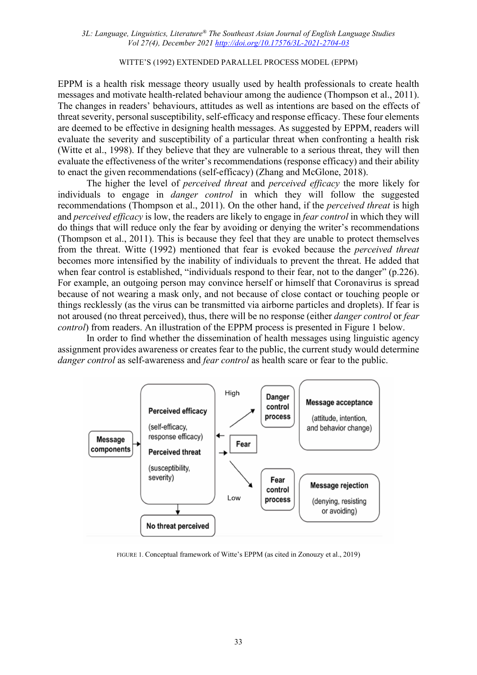### WITTE'S (1992) EXTENDED PARALLEL PROCESS MODEL (EPPM)

EPPM is a health risk message theory usually used by health professionals to create health messages and motivate health-related behaviour among the audience (Thompson et al., 2011). The changes in readers' behaviours, attitudes as well as intentions are based on the effects of threat severity, personal susceptibility, self-efficacy and response efficacy. These four elements are deemed to be effective in designing health messages. As suggested by EPPM, readers will evaluate the severity and susceptibility of a particular threat when confronting a health risk (Witte et al., 1998). If they believe that they are vulnerable to a serious threat, they will then evaluate the effectiveness of the writer's recommendations (response efficacy) and their ability to enact the given recommendations (self-efficacy) (Zhang and McGlone, 2018).

The higher the level of *perceived threat* and *perceived efficacy* the more likely for individuals to engage in *danger control* in which they will follow the suggested recommendations (Thompson et al., 2011). On the other hand, if the *perceived threat* is high and *perceived efficacy* is low, the readers are likely to engage in *fear control* in which they will do things that will reduce only the fear by avoiding or denying the writer's recommendations (Thompson et al., 2011). This is because they feel that they are unable to protect themselves from the threat. Witte (1992) mentioned that fear is evoked because the *perceived threat* becomes more intensified by the inability of individuals to prevent the threat. He added that when fear control is established, "individuals respond to their fear, not to the danger" (p.226). For example, an outgoing person may convince herself or himself that Coronavirus is spread because of not wearing a mask only, and not because of close contact or touching people or things recklessly (as the virus can be transmitted via airborne particles and droplets). If fear is not aroused (no threat perceived), thus, there will be no response (either *danger control* or *fear control*) from readers. An illustration of the EPPM process is presented in Figure 1 below.

In order to find whether the dissemination of health messages using linguistic agency assignment provides awareness or creates fear to the public, the current study would determine *danger control* as self-awareness and *fear control* as health scare or fear to the public.



FIGURE 1. Conceptual framework of Witte's EPPM (as cited in Zonouzy et al., 2019)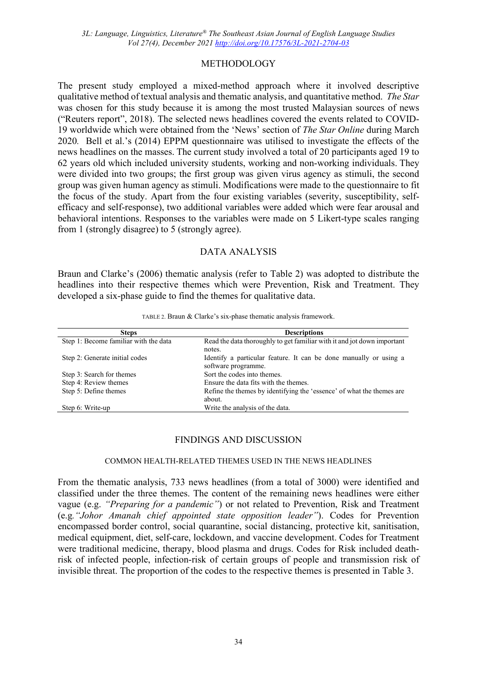# METHODOLOGY

The present study employed a mixed-method approach where it involved descriptive qualitative method of textual analysis and thematic analysis, and quantitative method. *The Star*  was chosen for this study because it is among the most trusted Malaysian sources of news ("Reuters report", 2018). The selected news headlines covered the events related to COVID-19 worldwide which were obtained from the 'News' section of *The Star Online* during March 2020*.* Bell et al.'s (2014) EPPM questionnaire was utilised to investigate the effects of the news headlines on the masses. The current study involved a total of 20 participants aged 19 to 62 years old which included university students, working and non-working individuals. They were divided into two groups; the first group was given virus agency as stimuli, the second group was given human agency as stimuli. Modifications were made to the questionnaire to fit the focus of the study. Apart from the four existing variables (severity, susceptibility, selfefficacy and self-response), two additional variables were added which were fear arousal and behavioral intentions. Responses to the variables were made on 5 Likert-type scales ranging from 1 (strongly disagree) to 5 (strongly agree).

# DATA ANALYSIS

Braun and Clarke's (2006) thematic analysis (refer to Table 2) was adopted to distribute the headlines into their respective themes which were Prevention, Risk and Treatment. They developed a six-phase guide to find the themes for qualitative data.

| <b>Steps</b>                          | <b>Descriptions</b>                                                                      |
|---------------------------------------|------------------------------------------------------------------------------------------|
| Step 1: Become familiar with the data | Read the data thoroughly to get familiar with it and jot down important<br>notes.        |
| Step 2: Generate initial codes        | Identify a particular feature. It can be done manually or using a<br>software programme. |
| Step 3: Search for themes             | Sort the codes into themes.                                                              |
| Step 4: Review themes                 | Ensure the data fits with the themes.                                                    |
| Step 5: Define themes                 | Refine the themes by identifying the 'essence' of what the themes are<br>about.          |
| Step 6: Write-up                      | Write the analysis of the data.                                                          |

TABLE 2. Braun & Clarke's six-phase thematic analysis framework.

# FINDINGS AND DISCUSSION

## COMMON HEALTH-RELATED THEMES USED IN THE NEWS HEADLINES

From the thematic analysis, 733 news headlines (from a total of 3000) were identified and classified under the three themes. The content of the remaining news headlines were either vague (e.g. *"Preparing for a pandemic"*) or not related to Prevention, Risk and Treatment (e.g*."Johor Amanah chief appointed state opposition leader"*). Codes for Prevention encompassed border control, social quarantine, social distancing, protective kit, sanitisation, medical equipment, diet, self-care, lockdown, and vaccine development. Codes for Treatment were traditional medicine, therapy, blood plasma and drugs. Codes for Risk included deathrisk of infected people, infection-risk of certain groups of people and transmission risk of invisible threat. The proportion of the codes to the respective themes is presented in Table 3.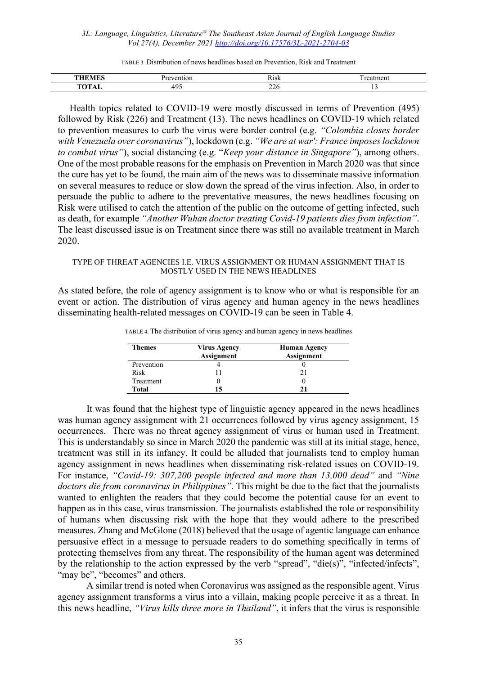TABLE 3. Distribution of news headlines based on Prevention, Risk and Treatment

| --  | ,,,,,,<br>AISK | ____<br>– |
|-----|----------------|-----------|
| . . | ∠∠∪            |           |

 Health topics related to COVID-19 were mostly discussed in terms of Prevention (495) followed by Risk (226) and Treatment (13). The news headlines on COVID-19 which related to prevention measures to curb the virus were border control (e.g. *"Colombia closes border with Venezuela over coronavirus"*), lockdown (e.g. *"We are at war': France imposes lockdown to combat virus"*), social distancing (e.g. "*Keep your distance in Singapore"*), among others. One of the most probable reasons for the emphasis on Prevention in March 2020 was that since the cure has yet to be found, the main aim of the news was to disseminate massive information on several measures to reduce or slow down the spread of the virus infection. Also, in order to persuade the public to adhere to the preventative measures, the news headlines focusing on Risk were utilised to catch the attention of the public on the outcome of getting infected, such as death, for example *"Another Wuhan doctor treating Covid-19 patients dies from infection"*. The least discussed issue is on Treatment since there was still no available treatment in March 2020.

### TYPE OF THREAT AGENCIES I.E. VIRUS ASSIGNMENT OR HUMAN ASSIGNMENT THAT IS MOSTLY USED IN THE NEWS HEADLINES

As stated before, the role of agency assignment is to know who or what is responsible for an event or action. The distribution of virus agency and human agency in the news headlines disseminating health-related messages on COVID-19 can be seen in Table 4.

| <b>Themes</b> | Virus Agency<br><b>Assignment</b> | <b>Human Agency</b><br><b>Assignment</b> |
|---------------|-----------------------------------|------------------------------------------|
| Prevention    |                                   |                                          |
| Risk          |                                   |                                          |
| Treatment     |                                   |                                          |
| Total         | 15                                |                                          |

TABLE 4. The distribution of virus agency and human agency in news headlines

 It was found that the highest type of linguistic agency appeared in the news headlines was human agency assignment with 21 occurrences followed by virus agency assignment, 15 occurrences. There was no threat agency assignment of virus or human used in Treatment. This is understandably so since in March 2020 the pandemic was still at its initial stage, hence, treatment was still in its infancy. It could be alluded that journalists tend to employ human agency assignment in news headlines when disseminating risk-related issues on COVID-19. For instance, *"Covid-19: 307,200 people infected and more than 13,000 dead"* and *"Nine doctors die from coronavirus in Philippines"*. This might be due to the fact that the journalists wanted to enlighten the readers that they could become the potential cause for an event to happen as in this case, virus transmission. The journalists established the role or responsibility of humans when discussing risk with the hope that they would adhere to the prescribed measures. Zhang and McGlone (2018) believed that the usage of agentic language can enhance persuasive effect in a message to persuade readers to do something specifically in terms of protecting themselves from any threat. The responsibility of the human agent was determined by the relationship to the action expressed by the verb "spread", "die(s)", "infected/infects", "may be", "becomes" and others.

 A similar trend is noted when Coronavirus was assigned as the responsible agent. Virus agency assignment transforms a virus into a villain, making people perceive it as a threat. In this news headline, *"Virus kills three more in Thailand"*, it infers that the virus is responsible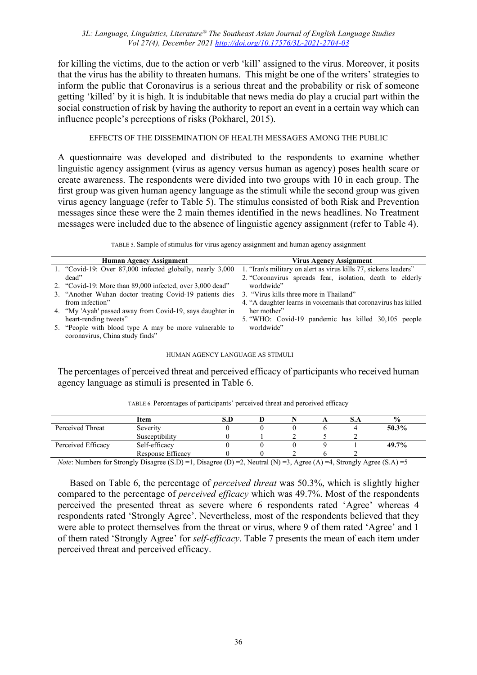for killing the victims, due to the action or verb 'kill' assigned to the virus. Moreover, it posits that the virus has the ability to threaten humans. This might be one of the writers' strategies to inform the public that Coronavirus is a serious threat and the probability or risk of someone getting 'killed' by it is high. It is indubitable that news media do play a crucial part within the social construction of risk by having the authority to report an event in a certain way which can influence people's perceptions of risks (Pokharel, 2015).

# EFFECTS OF THE DISSEMINATION OF HEALTH MESSAGES AMONG THE PUBLIC

A questionnaire was developed and distributed to the respondents to examine whether linguistic agency assignment (virus as agency versus human as agency) poses health scare or create awareness. The respondents were divided into two groups with 10 in each group. The first group was given human agency language as the stimuli while the second group was given virus agency language (refer to Table 5). The stimulus consisted of both Risk and Prevention messages since these were the 2 main themes identified in the news headlines. No Treatment messages were included due to the absence of linguistic agency assignment (refer to Table 4).

TABLE 5. Sample of stimulus for virus agency assignment and human agency assignment

| <b>Human Agency Assignment</b>                            | Virus Agency Assignment                                          |
|-----------------------------------------------------------|------------------------------------------------------------------|
| 1. "Covid-19: Over 87,000 infected globally, nearly 3,000 | 1. "Iran's military on alert as virus kills 77, sickens leaders" |
| dead"                                                     | 2. "Coronavirus spreads fear, isolation, death to elderly        |
| 2. "Covid-19: More than 89,000 infected, over 3,000 dead" | worldwide"                                                       |
| 3. "Another Wuhan doctor treating Covid-19 patients dies  | 3. "Virus kills three more in Thailand"                          |
| from infection"                                           | 4. "A daughter learns in voicemails that coronavirus has killed  |
| 4. "My 'Ayah' passed away from Covid-19, says daughter in | her mother"                                                      |
| heart-rending tweets"                                     | 5. "WHO: Covid-19 pandemic has killed 30,105 people              |
| 5. "People with blood type A may be more vulnerable to    | worldwide"                                                       |
| coronavirus, China study finds"                           |                                                                  |

### HUMAN AGENCY LANGUAGE AS STIMULI

The percentages of perceived threat and perceived efficacy of participants who received human agency language as stimuli is presented in Table 6.

|                                                                                                             | Item                          |                                                                                                                                                                                                                                                                                                                    |     | $\frac{6}{10}$        |
|-------------------------------------------------------------------------------------------------------------|-------------------------------|--------------------------------------------------------------------------------------------------------------------------------------------------------------------------------------------------------------------------------------------------------------------------------------------------------------------|-----|-----------------------|
| Perceived Threat                                                                                            | Severity                      |                                                                                                                                                                                                                                                                                                                    |     | $50.3\%$              |
|                                                                                                             | Susceptibility                |                                                                                                                                                                                                                                                                                                                    |     |                       |
| Perceived Efficacy                                                                                          | Self-efficacy                 |                                                                                                                                                                                                                                                                                                                    |     | 49.7%                 |
|                                                                                                             | Response Efficacy             |                                                                                                                                                                                                                                                                                                                    |     |                       |
| $\mathbf{v}$ $\mathbf{v}$ $\mathbf{v}$ $\mathbf{v}$ $\mathbf{v}$ $\mathbf{v}$ $\mathbf{v}$<br>$\sim$ $\sim$ | $(0, 0)$ $(0, 0)$<br>$\cdots$ | $\sqrt{2}$ $\sqrt{2}$ $\sqrt{2}$ $\sqrt{2}$ $\sqrt{2}$ $\sqrt{2}$ $\sqrt{2}$ $\sqrt{2}$ $\sqrt{2}$ $\sqrt{2}$ $\sqrt{2}$ $\sqrt{2}$ $\sqrt{2}$ $\sqrt{2}$ $\sqrt{2}$ $\sqrt{2}$ $\sqrt{2}$ $\sqrt{2}$ $\sqrt{2}$ $\sqrt{2}$ $\sqrt{2}$ $\sqrt{2}$ $\sqrt{2}$ $\sqrt{2}$ $\sqrt{2}$ $\sqrt{2}$ $\sqrt{2}$ $\sqrt{2$ | (1) | $\sqrt{a}$ $\sqrt{a}$ |

TABLE 6. Percentages of participants' perceived threat and perceived efficacy

*Note*: Numbers for Strongly Disagree (S.D) =1, Disagree (D) =2, Neutral (N) =3, Agree (A) =4, Strongly Agree (S.A) =5

 Based on Table 6, the percentage of *perceived threat* was 50.3%, which is slightly higher compared to the percentage of *perceived efficacy* which was 49.7%. Most of the respondents perceived the presented threat as severe where 6 respondents rated 'Agree' whereas 4 respondents rated 'Strongly Agree'. Nevertheless, most of the respondents believed that they were able to protect themselves from the threat or virus, where 9 of them rated 'Agree' and 1 of them rated 'Strongly Agree' for *self-efficacy*. Table 7 presents the mean of each item under perceived threat and perceived efficacy.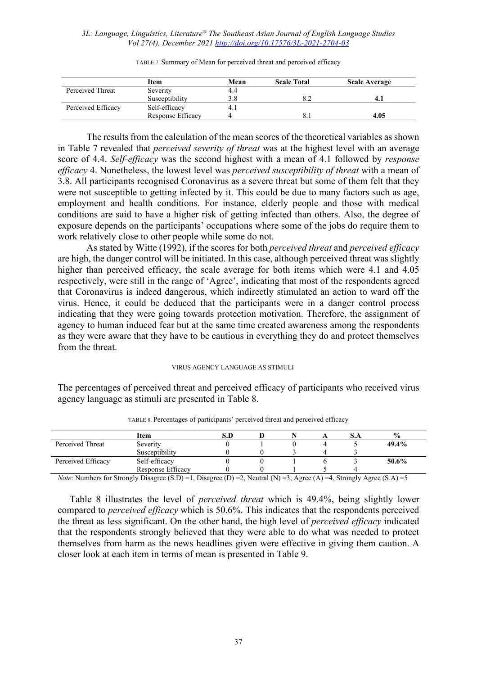|                    | Item              | Mean | <b>Scale Total</b> | <b>Scale Average</b> |
|--------------------|-------------------|------|--------------------|----------------------|
| Perceived Threat   | Severity          | 4.4  |                    |                      |
|                    | Susceptibility    | 3.8  |                    |                      |
| Perceived Efficacy | Self-efficacy     | 4.1  |                    |                      |
|                    | Response Efficacy |      |                    | 4.05                 |

TABLE 7. Summary of Mean for perceived threat and perceived efficacy

 The results from the calculation of the mean scores of the theoretical variables as shown in Table 7 revealed that *perceived severity of threat* was at the highest level with an average score of 4.4. *Self-efficacy* was the second highest with a mean of 4.1 followed by *response efficacy* 4. Nonetheless, the lowest level was *perceived susceptibility of threat* with a mean of 3.8. All participants recognised Coronavirus as a severe threat but some of them felt that they were not susceptible to getting infected by it. This could be due to many factors such as age, employment and health conditions. For instance, elderly people and those with medical conditions are said to have a higher risk of getting infected than others. Also, the degree of exposure depends on the participants' occupations where some of the jobs do require them to work relatively close to other people while some do not.

 As stated by Witte (1992), if the scores for both *perceived threat* and *perceived efficacy* are high, the danger control will be initiated. In this case, although perceived threat was slightly higher than perceived efficacy, the scale average for both items which were 4.1 and 4.05 respectively, were still in the range of 'Agree', indicating that most of the respondents agreed that Coronavirus is indeed dangerous, which indirectly stimulated an action to ward off the virus. Hence, it could be deduced that the participants were in a danger control process indicating that they were going towards protection motivation. Therefore, the assignment of agency to human induced fear but at the same time created awareness among the respondents as they were aware that they have to be cautious in everything they do and protect themselves from the threat.

### VIRUS AGENCY LANGUAGE AS STIMULI

The percentages of perceived threat and perceived efficacy of participants who received virus agency language as stimuli are presented in Table 8.

|                                                                                                                                                                                                                                                                         | Item              |  |  | $\frac{0}{0}$ |  |
|-------------------------------------------------------------------------------------------------------------------------------------------------------------------------------------------------------------------------------------------------------------------------|-------------------|--|--|---------------|--|
| Perceived Threat                                                                                                                                                                                                                                                        | Severity          |  |  | 49.4%         |  |
|                                                                                                                                                                                                                                                                         | Susceptibility    |  |  |               |  |
| Perceived Efficacy                                                                                                                                                                                                                                                      | Self-efficacy     |  |  | 50.6%         |  |
|                                                                                                                                                                                                                                                                         | Response Efficacy |  |  |               |  |
| $N_{i+1}$ , $N_{i+1}$ , $N_{i+1}$ , $N_{i+1}$ , $N_{i+1}$ , $N_{i+1}$ , $N_{i+1}$ , $N_{i+1}$ , $N_{i+1}$ , $N_{i+1}$ , $N_{i+1}$ , $N_{i+1}$ , $N_{i+1}$ , $N_{i+1}$ , $N_{i+1}$ , $N_{i+1}$ , $N_{i+1}$ , $N_{i+1}$ , $N_{i+1}$ , $N_{i+1}$ , $N_{i+1}$ , $N_{i+1}$ , |                   |  |  |               |  |

TABLE 8. Percentages of participants' perceived threat and perceived efficacy

*Note*: Numbers for Strongly Disagree (S.D) =1, Disagree (D) =2, Neutral (N) =3, Agree (A) =4, Strongly Agree (S.A) =5

 Table 8 illustrates the level of *perceived threat* which is 49.4%, being slightly lower compared to *perceived efficacy* which is 50.6%. This indicates that the respondents perceived the threat as less significant. On the other hand, the high level of *perceived efficacy* indicated that the respondents strongly believed that they were able to do what was needed to protect themselves from harm as the news headlines given were effective in giving them caution. A closer look at each item in terms of mean is presented in Table 9.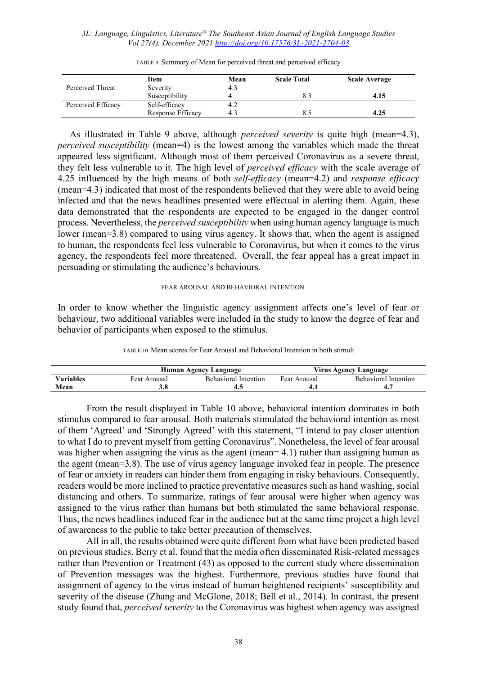|                    | Item              | Mean | <b>Scale Total</b> | <b>Scale Average</b> |
|--------------------|-------------------|------|--------------------|----------------------|
| Perceived Threat   | Severity          | 4.3  |                    |                      |
|                    | Susceptibility    |      |                    | 4.15                 |
| Perceived Efficacy | Self-efficacy     | 4.Z  |                    |                      |
|                    | Response Efficacy | 4.3  |                    | 4.25                 |

TABLE 9. Summary of Mean for perceived threat and perceived efficacy

 As illustrated in Table 9 above, although *perceived severity* is quite high (mean=4.3), *perceived susceptibility* (mean=4) is the lowest among the variables which made the threat appeared less significant. Although most of them perceived Coronavirus as a severe threat, they felt less vulnerable to it. The high level of *perceived efficacy* with the scale average of 4.25 influenced by the high means of both *self-efficacy* (mean=4.2) and *response efficacy* (mean=4.3) indicated that most of the respondents believed that they were able to avoid being infected and that the news headlines presented were effectual in alerting them. Again, these data demonstrated that the respondents are expected to be engaged in the danger control process. Nevertheless, the *perceived susceptibility* when using human agency language is much lower (mean=3.8) compared to using virus agency. It shows that, when the agent is assigned to human, the respondents feel less vulnerable to Coronavirus, but when it comes to the virus agency, the respondents feel more threatened. Overall, the fear appeal has a great impact in persuading or stimulating the audience's behaviours.

#### FEAR AROUSAL AND BEHAVIORAL INTENTION

In order to know whether the linguistic agency assignment affects one's level of fear or behaviour, two additional variables were included in the study to know the degree of fear and behavior of participants when exposed to the stimulus.

|  |  |  | TABLE 10. Mean scores for Fear Arousal and Behavioral Intention in both stimuli |
|--|--|--|---------------------------------------------------------------------------------|
|--|--|--|---------------------------------------------------------------------------------|

|           |              | Human Agency Language       | Virus Agency Language |                      |  |
|-----------|--------------|-----------------------------|-----------------------|----------------------|--|
| Variables | Fear Arousal | <b>Behavioral Intention</b> | Fear Arousal          | Behavioral Intention |  |
| Mean      |              |                             |                       |                      |  |

 From the result displayed in Table 10 above, behavioral intention dominates in both stimulus compared to fear arousal. Both materials stimulated the behavioral intention as most of them 'Agreed' and 'Strongly Agreed' with this statement, "I intend to pay closer attention to what I do to prevent myself from getting Coronavirus". Nonetheless, the level of fear arousal was higher when assigning the virus as the agent (mean= 4.1) rather than assigning human as the agent (mean=3.8). The use of virus agency language invoked fear in people. The presence of fear or anxiety in readers can hinder them from engaging in risky behaviours. Consequently, readers would be more inclined to practice preventative measures such as hand washing, social distancing and others. To summarize, ratings of fear arousal were higher when agency was assigned to the virus rather than humans but both stimulated the same behavioral response. Thus, the news headlines induced fear in the audience but at the same time project a high level of awareness to the public to take better precaution of themselves.

 All in all, the results obtained were quite different from what have been predicted based on previous studies. Berry et al. found that the media often disseminated Risk-related messages rather than Prevention or Treatment (43) as opposed to the current study where dissemination of Prevention messages was the highest. Furthermore, previous studies have found that assignment of agency to the virus instead of human heightened recipients' susceptibility and severity of the disease (Zhang and McGlone, 2018; Bell et al., 2014). In contrast, the present study found that, *perceived severity* to the Coronavirus was highest when agency was assigned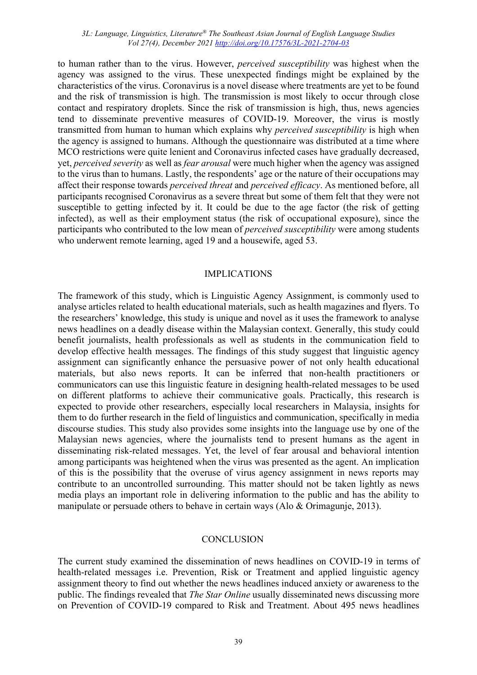to human rather than to the virus. However, *perceived susceptibility* was highest when the agency was assigned to the virus. These unexpected findings might be explained by the characteristics of the virus. Coronavirus is a novel disease where treatments are yet to be found and the risk of transmission is high. The transmission is most likely to occur through close contact and respiratory droplets. Since the risk of transmission is high, thus, news agencies tend to disseminate preventive measures of COVID-19. Moreover, the virus is mostly transmitted from human to human which explains why *perceived susceptibility* is high when the agency is assigned to humans. Although the questionnaire was distributed at a time where MCO restrictions were quite lenient and Coronavirus infected cases have gradually decreased, yet, *perceived severity* as well as *fear arousal* were much higher when the agency was assigned to the virus than to humans. Lastly, the respondents' age or the nature of their occupations may affect their response towards *perceived threat* and *perceived efficacy*. As mentioned before, all participants recognised Coronavirus as a severe threat but some of them felt that they were not susceptible to getting infected by it. It could be due to the age factor (the risk of getting infected), as well as their employment status (the risk of occupational exposure), since the participants who contributed to the low mean of *perceived susceptibility* were among students who underwent remote learning, aged 19 and a housewife, aged 53.

#### IMPLICATIONS

The framework of this study, which is Linguistic Agency Assignment, is commonly used to analyse articles related to health educational materials, such as health magazines and flyers. To the researchers' knowledge, this study is unique and novel as it uses the framework to analyse news headlines on a deadly disease within the Malaysian context. Generally, this study could benefit journalists, health professionals as well as students in the communication field to develop effective health messages. The findings of this study suggest that linguistic agency assignment can significantly enhance the persuasive power of not only health educational materials, but also news reports. It can be inferred that non-health practitioners or communicators can use this linguistic feature in designing health-related messages to be used on different platforms to achieve their communicative goals. Practically, this research is expected to provide other researchers, especially local researchers in Malaysia, insights for them to do further research in the field of linguistics and communication, specifically in media discourse studies. This study also provides some insights into the language use by one of the Malaysian news agencies, where the journalists tend to present humans as the agent in disseminating risk-related messages. Yet, the level of fear arousal and behavioral intention among participants was heightened when the virus was presented as the agent. An implication of this is the possibility that the overuse of virus agency assignment in news reports may contribute to an uncontrolled surrounding. This matter should not be taken lightly as news media plays an important role in delivering information to the public and has the ability to manipulate or persuade others to behave in certain ways (Alo & Orimagunje, 2013).

## **CONCLUSION**

The current study examined the dissemination of news headlines on COVID-19 in terms of health-related messages i.e. Prevention, Risk or Treatment and applied linguistic agency assignment theory to find out whether the news headlines induced anxiety or awareness to the public. The findings revealed that *The Star Online* usually disseminated news discussing more on Prevention of COVID-19 compared to Risk and Treatment. About 495 news headlines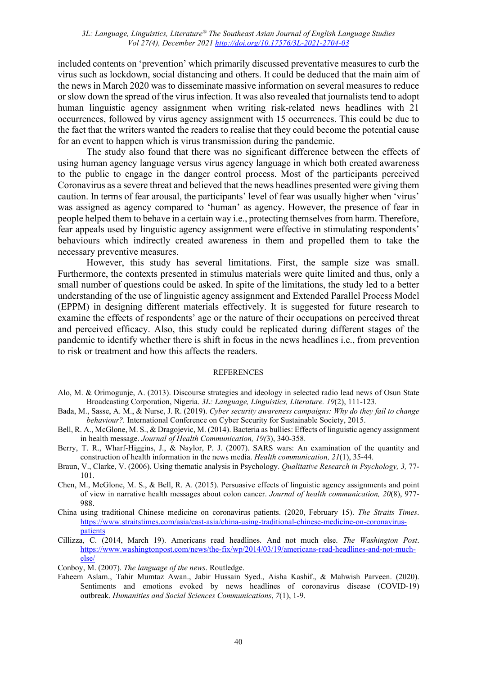included contents on 'prevention' which primarily discussed preventative measures to curb the virus such as lockdown, social distancing and others. It could be deduced that the main aim of the news in March 2020 was to disseminate massive information on several measures to reduce or slow down the spread of the virus infection. It was also revealed that journalists tend to adopt human linguistic agency assignment when writing risk-related news headlines with 21 occurrences, followed by virus agency assignment with 15 occurrences. This could be due to the fact that the writers wanted the readers to realise that they could become the potential cause for an event to happen which is virus transmission during the pandemic.

 The study also found that there was no significant difference between the effects of using human agency language versus virus agency language in which both created awareness to the public to engage in the danger control process. Most of the participants perceived Coronavirus as a severe threat and believed that the news headlines presented were giving them caution. In terms of fear arousal, the participants' level of fear was usually higher when 'virus' was assigned as agency compared to 'human' as agency. However, the presence of fear in people helped them to behave in a certain way i.e., protecting themselves from harm. Therefore, fear appeals used by linguistic agency assignment were effective in stimulating respondents' behaviours which indirectly created awareness in them and propelled them to take the necessary preventive measures.

 However, this study has several limitations. First, the sample size was small. Furthermore, the contexts presented in stimulus materials were quite limited and thus, only a small number of questions could be asked. In spite of the limitations, the study led to a better understanding of the use of linguistic agency assignment and Extended Parallel Process Model (EPPM) in designing different materials effectively. It is suggested for future research to examine the effects of respondents' age or the nature of their occupations on perceived threat and perceived efficacy. Also, this study could be replicated during different stages of the pandemic to identify whether there is shift in focus in the news headlines i.e., from prevention to risk or treatment and how this affects the readers.

## **REFERENCES**

- Alo, M. & Orimogunje, A. (2013). Discourse strategies and ideology in selected radio lead news of Osun State Broadcasting Corporation, Nigeria. *3L: Language, Linguistics, Literature. 19*(2), 111-123.
- Bada, M., Sasse, A. M., & Nurse, J. R. (2019). *Cyber security awareness campaigns: Why do they fail to change behaviour?.* International Conference on Cyber Security for Sustainable Society, 2015.
- Bell, R. A., McGlone, M. S., & Dragojevic, M. (2014). Bacteria as bullies: Effects of linguistic agency assignment in health message. *Journal of Health Communication, 19(*3), 340-358.
- Berry, T. R., Wharf-Higgins, J., & Naylor, P. J. (2007). SARS wars: An examination of the quantity and construction of health information in the news media. *Health communication, 21*(1), 35-44.
- Braun, V., Clarke, V. (2006). Using thematic analysis in Psychology. *Qualitative Research in Psychology, 3,* 77- 101.
- Chen, M., McGlone, M. S., & Bell, R. A. (2015). Persuasive effects of linguistic agency assignments and point of view in narrative health messages about colon cancer. *Journal of health communication, 20*(8), 977- 988.
- China using traditional Chinese medicine on coronavirus patients. (2020, February 15). *The Straits Times*. [https://www.straitstimes.com/asia/east-asia/china-using-traditional-chinese-medicine-on-coronavirus](https://www.straitstimes.com/asia/east-asia/china-using-traditional-chinese-medicine-on-coronavirus-patients)[patients](https://www.straitstimes.com/asia/east-asia/china-using-traditional-chinese-medicine-on-coronavirus-patients)
- Cillizza, C. (2014, March 19). Americans read headlines. And not much else. *The Washington Post*. [https://www.washingtonpost.com/news/the-fix/wp/2014/03/19/americans-read-headlines-and-not-much](https://www.washingtonpost.com/news/the-fix/wp/2014/03/19/americans-read-headlines-and-not-much-else/)[else/](https://www.washingtonpost.com/news/the-fix/wp/2014/03/19/americans-read-headlines-and-not-much-else/)

Conboy, M. (2007). *The language of the news*. Routledge.

Faheem Aslam., Tahir Mumtaz Awan., Jabir Hussain Syed., Aisha Kashif., & Mahwish Parveen. (2020). Sentiments and emotions evoked by news headlines of coronavirus disease (COVID-19) outbreak. *Humanities and Social Sciences Communications*, *7*(1), 1-9.